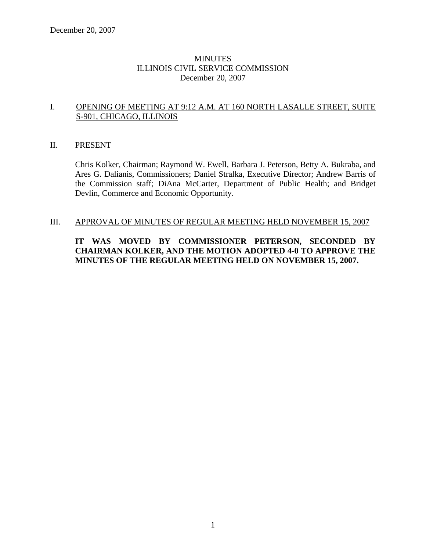### **MINUTES** ILLINOIS CIVIL SERVICE COMMISSION December 20, 2007

### I. OPENING OF MEETING AT 9:12 A.M. AT 160 NORTH LASALLE STREET, SUITE S-901, CHICAGO, ILLINOIS

#### II. PRESENT

Chris Kolker, Chairman; Raymond W. Ewell, Barbara J. Peterson, Betty A. Bukraba, and Ares G. Dalianis, Commissioners; Daniel Stralka, Executive Director; Andrew Barris of the Commission staff; DiAna McCarter, Department of Public Health; and Bridget Devlin, Commerce and Economic Opportunity.

#### III. APPROVAL OF MINUTES OF REGULAR MEETING HELD NOVEMBER 15, 2007

### **IT WAS MOVED BY COMMISSIONER PETERSON, SECONDED BY CHAIRMAN KOLKER, AND THE MOTION ADOPTED 4-0 TO APPROVE THE MINUTES OF THE REGULAR MEETING HELD ON NOVEMBER 15, 2007.**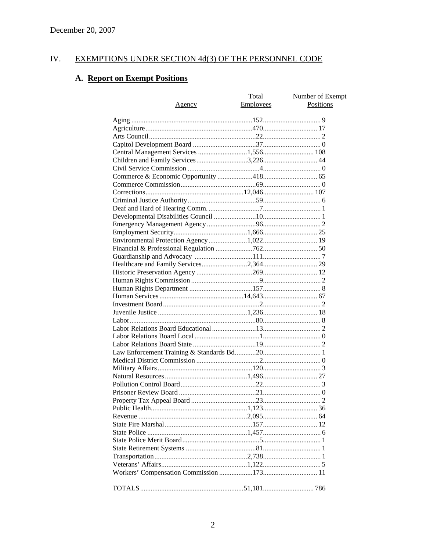#### IV. **EXEMPTIONS UNDER SECTION 4d(3) OF THE PERSONNEL CODE**

# A. Report on Exempt Positions

| <u>Agency</u> | Total<br><b>Employees</b> | Number of Exempt<br><b>Positions</b> |
|---------------|---------------------------|--------------------------------------|
|               |                           |                                      |
|               |                           |                                      |
|               |                           |                                      |
|               |                           |                                      |
|               |                           |                                      |
|               |                           |                                      |
|               |                           |                                      |
|               |                           |                                      |
|               |                           |                                      |
|               |                           |                                      |
|               |                           |                                      |
|               |                           |                                      |
|               |                           |                                      |
|               |                           |                                      |
|               |                           |                                      |
|               |                           |                                      |
|               |                           |                                      |
|               |                           |                                      |
|               |                           |                                      |
|               |                           |                                      |
|               |                           |                                      |
|               |                           |                                      |
|               |                           |                                      |
|               |                           |                                      |
|               |                           |                                      |
|               |                           |                                      |
|               |                           |                                      |
|               |                           |                                      |
|               |                           |                                      |
|               |                           |                                      |
|               |                           |                                      |
|               |                           |                                      |
|               |                           |                                      |
|               |                           |                                      |
|               |                           |                                      |
|               |                           |                                      |
|               |                           |                                      |
|               |                           |                                      |
|               |                           |                                      |
|               |                           |                                      |
|               |                           |                                      |
|               |                           |                                      |
|               |                           |                                      |
|               |                           |                                      |
|               |                           |                                      |
|               |                           |                                      |
|               |                           |                                      |
|               |                           |                                      |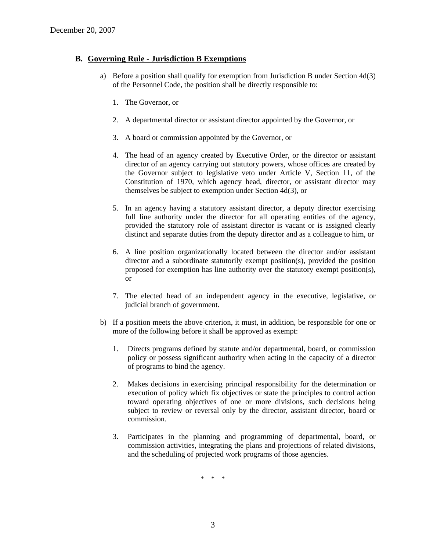### **B. Governing Rule - Jurisdiction B Exemptions**

- a) Before a position shall qualify for exemption from Jurisdiction B under Section 4d(3) of the Personnel Code, the position shall be directly responsible to:
	- 1. The Governor, or
	- 2. A departmental director or assistant director appointed by the Governor, or
	- 3. A board or commission appointed by the Governor, or
	- 4. The head of an agency created by Executive Order, or the director or assistant director of an agency carrying out statutory powers, whose offices are created by the Governor subject to legislative veto under Article V, Section 11, of the Constitution of 1970, which agency head, director, or assistant director may themselves be subject to exemption under Section 4d(3), or
	- 5. In an agency having a statutory assistant director, a deputy director exercising full line authority under the director for all operating entities of the agency, provided the statutory role of assistant director is vacant or is assigned clearly distinct and separate duties from the deputy director and as a colleague to him, or
	- 6. A line position organizationally located between the director and/or assistant director and a subordinate statutorily exempt position(s), provided the position proposed for exemption has line authority over the statutory exempt position(s), or
	- 7. The elected head of an independent agency in the executive, legislative, or judicial branch of government.
- b) If a position meets the above criterion, it must, in addition, be responsible for one or more of the following before it shall be approved as exempt:
	- 1. Directs programs defined by statute and/or departmental, board, or commission policy or possess significant authority when acting in the capacity of a director of programs to bind the agency.
	- 2. Makes decisions in exercising principal responsibility for the determination or execution of policy which fix objectives or state the principles to control action toward operating objectives of one or more divisions, such decisions being subject to review or reversal only by the director, assistant director, board or commission.
	- 3. Participates in the planning and programming of departmental, board, or commission activities, integrating the plans and projections of related divisions, and the scheduling of projected work programs of those agencies.

\* \* \*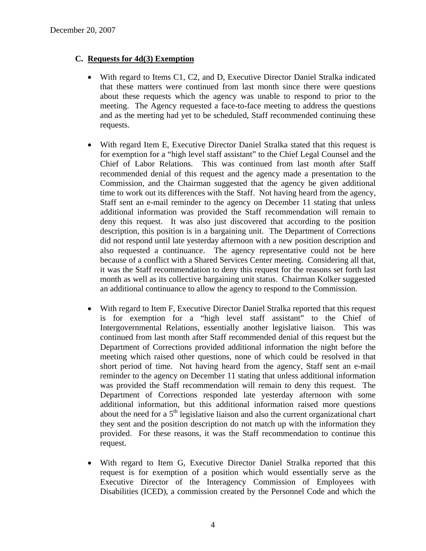### **C. Requests for 4d(3) Exemption**

- With regard to Items C1, C2, and D, Executive Director Daniel Stralka indicated that these matters were continued from last month since there were questions about these requests which the agency was unable to respond to prior to the meeting. The Agency requested a face-to-face meeting to address the questions and as the meeting had yet to be scheduled, Staff recommended continuing these requests.
- With regard Item E, Executive Director Daniel Stralka stated that this request is for exemption for a "high level staff assistant" to the Chief Legal Counsel and the Chief of Labor Relations. This was continued from last month after Staff recommended denial of this request and the agency made a presentation to the Commission, and the Chairman suggested that the agency be given additional time to work out its differences with the Staff. Not having heard from the agency, Staff sent an e-mail reminder to the agency on December 11 stating that unless additional information was provided the Staff recommendation will remain to deny this request. It was also just discovered that according to the position description, this position is in a bargaining unit. The Department of Corrections did not respond until late yesterday afternoon with a new position description and also requested a continuance. The agency representative could not be here because of a conflict with a Shared Services Center meeting. Considering all that, it was the Staff recommendation to deny this request for the reasons set forth last month as well as its collective bargaining unit status. Chairman Kolker suggested an additional continuance to allow the agency to respond to the Commission.
- With regard to Item F, Executive Director Daniel Stralka reported that this request is for exemption for a "high level staff assistant" to the Chief of Intergovernmental Relations, essentially another legislative liaison. This was continued from last month after Staff recommended denial of this request but the Department of Corrections provided additional information the night before the meeting which raised other questions, none of which could be resolved in that short period of time. Not having heard from the agency, Staff sent an e-mail reminder to the agency on December 11 stating that unless additional information was provided the Staff recommendation will remain to deny this request. The Department of Corrections responded late yesterday afternoon with some additional information, but this additional information raised more questions about the need for a  $5<sup>th</sup>$  legislative liaison and also the current organizational chart they sent and the position description do not match up with the information they provided. For these reasons, it was the Staff recommendation to continue this request.
- With regard to Item G, Executive Director Daniel Stralka reported that this request is for exemption of a position which would essentially serve as the Executive Director of the Interagency Commission of Employees with Disabilities (ICED), a commission created by the Personnel Code and which the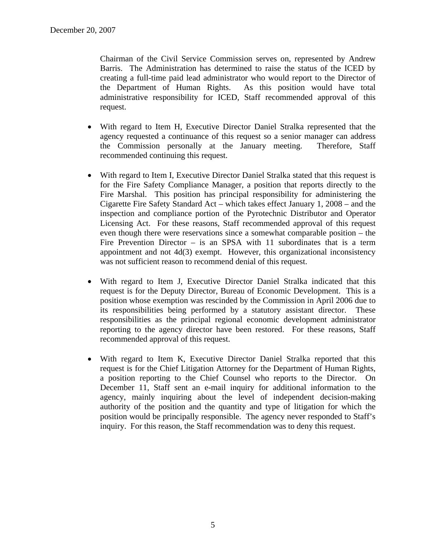Chairman of the Civil Service Commission serves on, represented by Andrew Barris. The Administration has determined to raise the status of the ICED by creating a full-time paid lead administrator who would report to the Director of the Department of Human Rights. As this position would have total administrative responsibility for ICED, Staff recommended approval of this request.

- With regard to Item H, Executive Director Daniel Stralka represented that the agency requested a continuance of this request so a senior manager can address the Commission personally at the January meeting. Therefore, Staff recommended continuing this request.
- With regard to Item I, Executive Director Daniel Stralka stated that this request is for the Fire Safety Compliance Manager, a position that reports directly to the Fire Marshal. This position has principal responsibility for administering the Cigarette Fire Safety Standard Act – which takes effect January 1, 2008 – and the inspection and compliance portion of the Pyrotechnic Distributor and Operator Licensing Act. For these reasons, Staff recommended approval of this request even though there were reservations since a somewhat comparable position – the Fire Prevention Director  $-$  is an SPSA with 11 subordinates that is a term appointment and not 4d(3) exempt. However, this organizational inconsistency was not sufficient reason to recommend denial of this request.
- With regard to Item J, Executive Director Daniel Stralka indicated that this request is for the Deputy Director, Bureau of Economic Development. This is a position whose exemption was rescinded by the Commission in April 2006 due to its responsibilities being performed by a statutory assistant director. These responsibilities as the principal regional economic development administrator reporting to the agency director have been restored. For these reasons, Staff recommended approval of this request.
- With regard to Item K, Executive Director Daniel Stralka reported that this request is for the Chief Litigation Attorney for the Department of Human Rights, a position reporting to the Chief Counsel who reports to the Director. On December 11, Staff sent an e-mail inquiry for additional information to the agency, mainly inquiring about the level of independent decision-making authority of the position and the quantity and type of litigation for which the position would be principally responsible. The agency never responded to Staff's inquiry. For this reason, the Staff recommendation was to deny this request.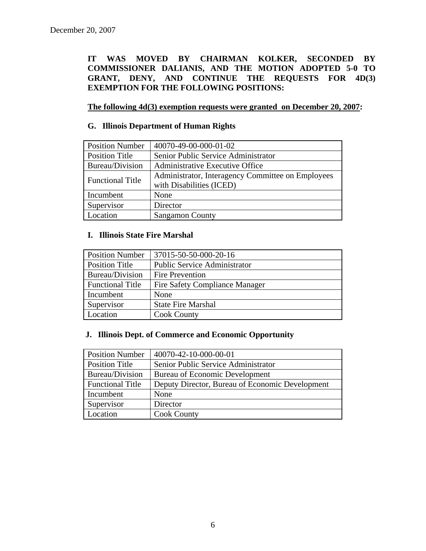**IT WAS MOVED BY CHAIRMAN KOLKER, SECONDED BY COMMISSIONER DALIANIS, AND THE MOTION ADOPTED 5-0 TO GRANT, DENY, AND CONTINUE THE REQUESTS FOR 4D(3) EXEMPTION FOR THE FOLLOWING POSITIONS:** 

**The following 4d(3) exemption requests were granted on December 20, 2007:**

### **G. Illinois Department of Human Rights**

| <b>Position Number</b>  | 40070-49-00-000-01-02                                                         |  |
|-------------------------|-------------------------------------------------------------------------------|--|
| <b>Position Title</b>   | Senior Public Service Administrator                                           |  |
| Bureau/Division         | Administrative Executive Office                                               |  |
| <b>Functional Title</b> | Administrator, Interagency Committee on Employees<br>with Disabilities (ICED) |  |
| Incumbent               | None                                                                          |  |
| Supervisor              | Director                                                                      |  |
| Location                | <b>Sangamon County</b>                                                        |  |

#### **I. Illinois State Fire Marshal**

| <b>Position Number</b>  | 37015-50-50-000-20-16                 |  |
|-------------------------|---------------------------------------|--|
| <b>Position Title</b>   | <b>Public Service Administrator</b>   |  |
| Bureau/Division         | <b>Fire Prevention</b>                |  |
| <b>Functional Title</b> | <b>Fire Safety Compliance Manager</b> |  |
| Incumbent               | None                                  |  |
| Supervisor              | <b>State Fire Marshal</b>             |  |
| Location                | <b>Cook County</b>                    |  |

### **J. Illinois Dept. of Commerce and Economic Opportunity**

| <b>Position Number</b>  | 40070-42-10-000-00-01                           |  |
|-------------------------|-------------------------------------------------|--|
| Position Title          | Senior Public Service Administrator             |  |
| Bureau/Division         | <b>Bureau of Economic Development</b>           |  |
| <b>Functional Title</b> | Deputy Director, Bureau of Economic Development |  |
| Incumbent               | None                                            |  |
| Supervisor              | Director                                        |  |
| Location                | <b>Cook County</b>                              |  |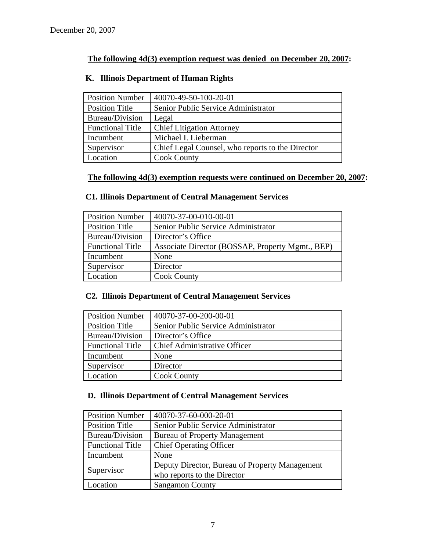## **The following 4d(3) exemption request was denied on December 20, 2007:**

| <b>Position Number</b>  | 40070-49-50-100-20-01                            |  |
|-------------------------|--------------------------------------------------|--|
| <b>Position Title</b>   | Senior Public Service Administrator              |  |
| Bureau/Division         | Legal                                            |  |
| <b>Functional Title</b> | <b>Chief Litigation Attorney</b>                 |  |
| Incumbent               | Michael I. Lieberman                             |  |
| Supervisor              | Chief Legal Counsel, who reports to the Director |  |
| Location                | <b>Cook County</b>                               |  |

### **K. Illinois Department of Human Rights**

## **The following 4d(3) exemption requests were continued on December 20, 2007:**

## **C1. Illinois Department of Central Management Services**

| <b>Position Number</b>  | 40070-37-00-010-00-01                            |  |
|-------------------------|--------------------------------------------------|--|
| <b>Position Title</b>   | Senior Public Service Administrator              |  |
| Bureau/Division         | Director's Office                                |  |
| <b>Functional Title</b> | Associate Director (BOSSAP, Property Mgmt., BEP) |  |
| Incumbent               | None                                             |  |
| Supervisor              | Director                                         |  |
| Location                | <b>Cook County</b>                               |  |

### **C2. Illinois Department of Central Management Services**

| <b>Position Number</b>  | 40070-37-00-200-00-01               |  |
|-------------------------|-------------------------------------|--|
| <b>Position Title</b>   | Senior Public Service Administrator |  |
| Bureau/Division         | Director's Office                   |  |
| <b>Functional Title</b> | <b>Chief Administrative Officer</b> |  |
| Incumbent               | None                                |  |
| Supervisor              | Director                            |  |
| Location                | <b>Cook County</b>                  |  |

### **D. Illinois Department of Central Management Services**

| <b>Position Number</b>  | 40070-37-60-000-20-01                          |  |
|-------------------------|------------------------------------------------|--|
| <b>Position Title</b>   | Senior Public Service Administrator            |  |
| Bureau/Division         | <b>Bureau of Property Management</b>           |  |
| <b>Functional Title</b> | <b>Chief Operating Officer</b>                 |  |
| Incumbent               | None                                           |  |
| Supervisor              | Deputy Director, Bureau of Property Management |  |
|                         | who reports to the Director                    |  |
| Location                | <b>Sangamon County</b>                         |  |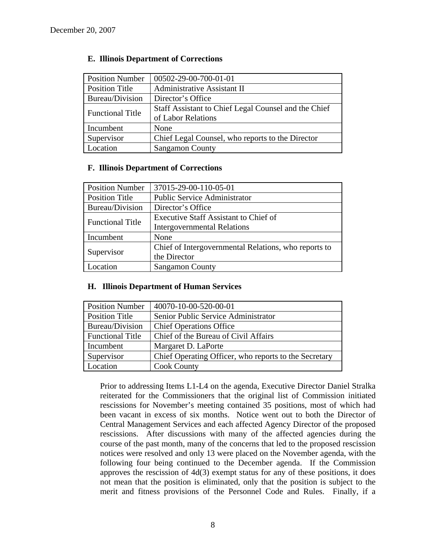| <b>Position Number</b>  | 00502-29-00-700-01-01                                |  |
|-------------------------|------------------------------------------------------|--|
| <b>Position Title</b>   | Administrative Assistant II                          |  |
| Bureau/Division         | Director's Office                                    |  |
| <b>Functional Title</b> | Staff Assistant to Chief Legal Counsel and the Chief |  |
|                         | of Labor Relations                                   |  |
| Incumbent               | None                                                 |  |
| Supervisor              | Chief Legal Counsel, who reports to the Director     |  |
| Location                | <b>Sangamon County</b>                               |  |

### **E. Illinois Department of Corrections**

#### **F. Illinois Department of Corrections**

| <b>Position Number</b>  | 37015-29-00-110-05-01                                |  |
|-------------------------|------------------------------------------------------|--|
| <b>Position Title</b>   | <b>Public Service Administrator</b>                  |  |
| Bureau/Division         | Director's Office                                    |  |
|                         | <b>Executive Staff Assistant to Chief of</b>         |  |
| <b>Functional Title</b> | <b>Intergovernmental Relations</b>                   |  |
| Incumbent               | None                                                 |  |
| Supervisor              | Chief of Intergovernmental Relations, who reports to |  |
|                         | the Director                                         |  |
| Location                | <b>Sangamon County</b>                               |  |

#### **H. Illinois Department of Human Services**

| <b>Position Number</b>  | 40070-10-00-520-00-01                                 |  |
|-------------------------|-------------------------------------------------------|--|
| <b>Position Title</b>   | Senior Public Service Administrator                   |  |
| Bureau/Division         | <b>Chief Operations Office</b>                        |  |
| <b>Functional Title</b> | Chief of the Bureau of Civil Affairs                  |  |
| Incumbent               | Margaret D. LaPorte                                   |  |
| Supervisor              | Chief Operating Officer, who reports to the Secretary |  |
| Location                | <b>Cook County</b>                                    |  |

Prior to addressing Items L1-L4 on the agenda, Executive Director Daniel Stralka reiterated for the Commissioners that the original list of Commission initiated rescissions for November's meeting contained 35 positions, most of which had been vacant in excess of six months. Notice went out to both the Director of Central Management Services and each affected Agency Director of the proposed rescissions. After discussions with many of the affected agencies during the course of the past month, many of the concerns that led to the proposed rescission notices were resolved and only 13 were placed on the November agenda, with the following four being continued to the December agenda. If the Commission approves the rescission of 4d(3) exempt status for any of these positions, it does not mean that the position is eliminated, only that the position is subject to the merit and fitness provisions of the Personnel Code and Rules. Finally, if a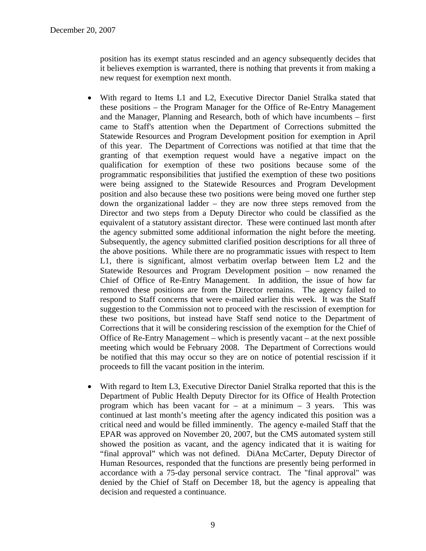position has its exempt status rescinded and an agency subsequently decides that it believes exemption is warranted, there is nothing that prevents it from making a new request for exemption next month.

- With regard to Items L1 and L2, Executive Director Daniel Stralka stated that these positions – the Program Manager for the Office of Re-Entry Management and the Manager, Planning and Research, both of which have incumbents – first came to Staff's attention when the Department of Corrections submitted the Statewide Resources and Program Development position for exemption in April of this year. The Department of Corrections was notified at that time that the granting of that exemption request would have a negative impact on the qualification for exemption of these two positions because some of the programmatic responsibilities that justified the exemption of these two positions were being assigned to the Statewide Resources and Program Development position and also because these two positions were being moved one further step down the organizational ladder – they are now three steps removed from the Director and two steps from a Deputy Director who could be classified as the equivalent of a statutory assistant director. These were continued last month after the agency submitted some additional information the night before the meeting. Subsequently, the agency submitted clarified position descriptions for all three of the above positions. While there are no programmatic issues with respect to Item L1, there is significant, almost verbatim overlap between Item L2 and the Statewide Resources and Program Development position – now renamed the Chief of Office of Re-Entry Management. In addition, the issue of how far removed these positions are from the Director remains. The agency failed to respond to Staff concerns that were e-mailed earlier this week. It was the Staff suggestion to the Commission not to proceed with the rescission of exemption for these two positions, but instead have Staff send notice to the Department of Corrections that it will be considering rescission of the exemption for the Chief of Office of Re-Entry Management – which is presently vacant – at the next possible meeting which would be February 2008. The Department of Corrections would be notified that this may occur so they are on notice of potential rescission if it proceeds to fill the vacant position in the interim.
- With regard to Item L3, Executive Director Daniel Stralka reported that this is the Department of Public Health Deputy Director for its Office of Health Protection program which has been vacant for  $-$  at a minimum  $-$  3 years. This was continued at last month's meeting after the agency indicated this position was a critical need and would be filled imminently. The agency e-mailed Staff that the EPAR was approved on November 20, 2007, but the CMS automated system still showed the position as vacant, and the agency indicated that it is waiting for "final approval" which was not defined. DiAna McCarter, Deputy Director of Human Resources, responded that the functions are presently being performed in accordance with a 75-day personal service contract. The "final approval" was denied by the Chief of Staff on December 18, but the agency is appealing that decision and requested a continuance.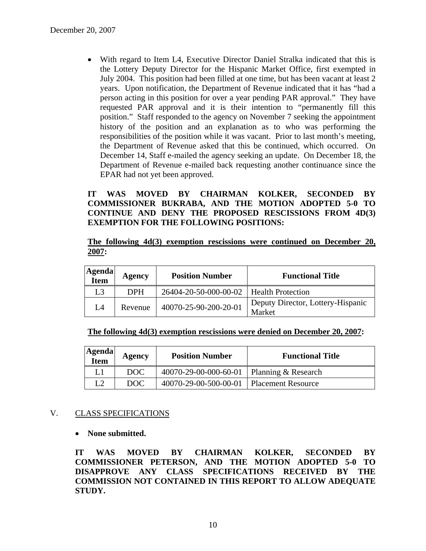• With regard to Item L4, Executive Director Daniel Stralka indicated that this is the Lottery Deputy Director for the Hispanic Market Office, first exempted in July 2004. This position had been filled at one time, but has been vacant at least 2 years. Upon notification, the Department of Revenue indicated that it has "had a person acting in this position for over a year pending PAR approval." They have requested PAR approval and it is their intention to "permanently fill this position." Staff responded to the agency on November 7 seeking the appointment history of the position and an explanation as to who was performing the responsibilities of the position while it was vacant. Prior to last month's meeting, the Department of Revenue asked that this be continued, which occurred. On December 14, Staff e-mailed the agency seeking an update. On December 18, the Department of Revenue e-mailed back requesting another continuance since the EPAR had not yet been approved.

**IT WAS MOVED BY CHAIRMAN KOLKER, SECONDED BY COMMISSIONER BUKRABA, AND THE MOTION ADOPTED 5-0 TO CONTINUE AND DENY THE PROPOSED RESCISSIONS FROM 4D(3) EXEMPTION FOR THE FOLLOWING POSITIONS:** 

**The following 4d(3) exemption rescissions were continued on December 20, 2007:**

| <b>Agenda</b><br><b>Item</b> | Agency     | <b>Position Number</b>                    | <b>Functional Title</b>                     |
|------------------------------|------------|-------------------------------------------|---------------------------------------------|
| L3                           | <b>DPH</b> | 26404-20-50-000-00-02   Health Protection |                                             |
| L4                           | Revenue    | 40070-25-90-200-20-01                     | Deputy Director, Lottery-Hispanic<br>Market |

**The following 4d(3) exemption rescissions were denied on December 20, 2007:**

| <b>Agenda</b><br>Item | Agency | <b>Position Number</b>                      | <b>Functional Title</b> |
|-----------------------|--------|---------------------------------------------|-------------------------|
| L1                    | DOC.   | 40070-29-00-000-60-01   Planning & Research |                         |
| L2                    | DOC.   | 40070-29-00-500-00-01   Placement Resource  |                         |

#### V. CLASS SPECIFICATIONS

#### • **None submitted.**

**IT WAS MOVED BY CHAIRMAN KOLKER, SECONDED BY COMMISSIONER PETERSON, AND THE MOTION ADOPTED 5-0 TO DISAPPROVE ANY CLASS SPECIFICATIONS RECEIVED BY THE COMMISSION NOT CONTAINED IN THIS REPORT TO ALLOW ADEQUATE STUDY.**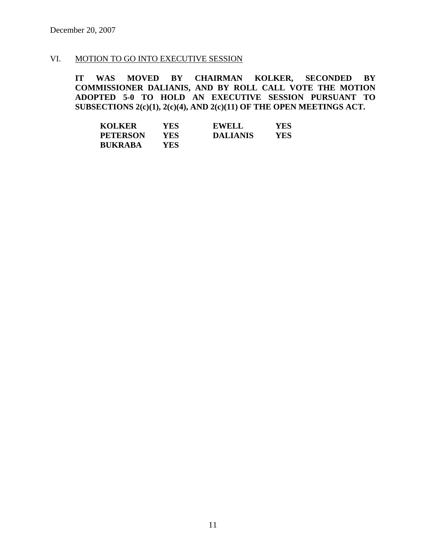### VI. MOTION TO GO INTO EXECUTIVE SESSION

**IT WAS MOVED BY CHAIRMAN KOLKER, SECONDED BY COMMISSIONER DALIANIS, AND BY ROLL CALL VOTE THE MOTION ADOPTED 5-0 TO HOLD AN EXECUTIVE SESSION PURSUANT TO SUBSECTIONS 2(c)(1), 2(c)(4), AND 2(c)(11) OF THE OPEN MEETINGS ACT.** 

| <b>KOLKER</b>   | YES | <b>EWELL</b>    | YES |
|-----------------|-----|-----------------|-----|
| <b>PETERSON</b> | YES | <b>DALIANIS</b> | YES |
| <b>BUKRABA</b>  | YES |                 |     |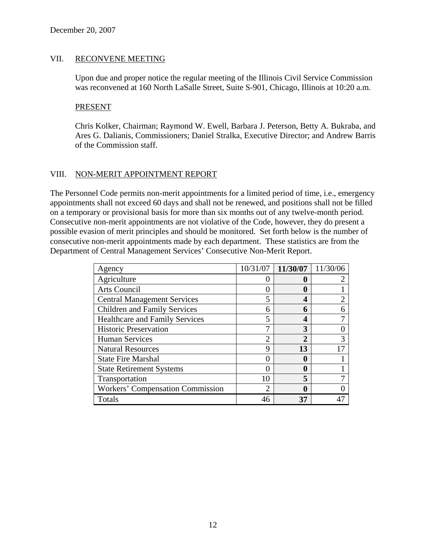### VII. RECONVENE MEETING

Upon due and proper notice the regular meeting of the Illinois Civil Service Commission was reconvened at 160 North LaSalle Street, Suite S-901, Chicago, Illinois at 10:20 a.m.

#### PRESENT

Chris Kolker, Chairman; Raymond W. Ewell, Barbara J. Peterson, Betty A. Bukraba, and Ares G. Dalianis, Commissioners; Daniel Stralka, Executive Director; and Andrew Barris of the Commission staff.

### VIII. NON-MERIT APPOINTMENT REPORT

The Personnel Code permits non-merit appointments for a limited period of time, i.e., emergency appointments shall not exceed 60 days and shall not be renewed, and positions shall not be filled on a temporary or provisional basis for more than six months out of any twelve-month period. Consecutive non-merit appointments are not violative of the Code, however, they do present a possible evasion of merit principles and should be monitored. Set forth below is the number of consecutive non-merit appointments made by each department. These statistics are from the Department of Central Management Services' Consecutive Non-Merit Report.

| Agency                                  | 10/31/07 | 11/30/07     | 11/30/06 |
|-----------------------------------------|----------|--------------|----------|
| Agriculture                             |          |              |          |
| Arts Council                            |          | 0            |          |
| <b>Central Management Services</b>      |          | 4            |          |
| <b>Children and Family Services</b>     | 6        | 6            |          |
| <b>Healthcare and Family Services</b>   |          | 4            |          |
| <b>Historic Preservation</b>            |          | 3            |          |
| <b>Human Services</b>                   | ∍        | $\mathbf{2}$ |          |
| <b>Natural Resources</b>                | q        | 13           |          |
| <b>State Fire Marshal</b>               |          |              |          |
| <b>State Retirement Systems</b>         |          |              |          |
| Transportation                          | 10       |              |          |
| <b>Workers' Compensation Commission</b> | ◠        |              |          |
| Totals                                  | 46       | 37           |          |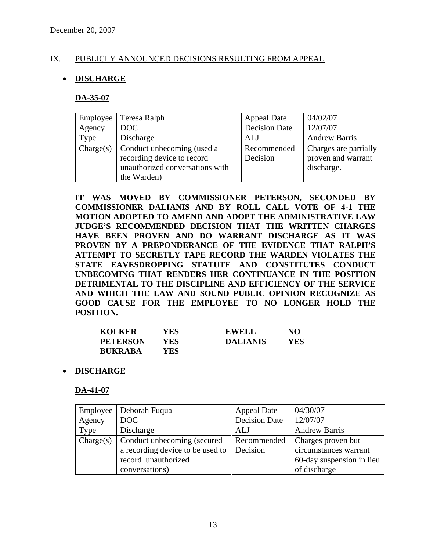### IX. PUBLICLY ANNOUNCED DECISIONS RESULTING FROM APPEAL

### • **DISCHARGE**

#### **DA-35-07**

| Employee  | Teresa Ralph                                                                                               | <b>Appeal Date</b>      | 04/02/07                                                  |
|-----------|------------------------------------------------------------------------------------------------------------|-------------------------|-----------------------------------------------------------|
| Agency    | DOC                                                                                                        | <b>Decision Date</b>    | 12/07/07                                                  |
| Type      | Discharge                                                                                                  | <b>ALJ</b>              | <b>Andrew Barris</b>                                      |
| Change(s) | Conduct unbecoming (used a<br>recording device to record<br>unauthorized conversations with<br>the Warden) | Recommended<br>Decision | Charges are partially<br>proven and warrant<br>discharge. |

**IT WAS MOVED BY COMMISSIONER PETERSON, SECONDED BY COMMISSIONER DALIANIS AND BY ROLL CALL VOTE OF 4-1 THE MOTION ADOPTED TO AMEND AND ADOPT THE ADMINISTRATIVE LAW JUDGE'S RECOMMENDED DECISION THAT THE WRITTEN CHARGES HAVE BEEN PROVEN AND DO WARRANT DISCHARGE AS IT WAS PROVEN BY A PREPONDERANCE OF THE EVIDENCE THAT RALPH'S ATTEMPT TO SECRETLY TAPE RECORD THE WARDEN VIOLATES THE STATE EAVESDROPPING STATUTE AND CONSTITUTES CONDUCT UNBECOMING THAT RENDERS HER CONTINUANCE IN THE POSITION DETRIMENTAL TO THE DISCIPLINE AND EFFICIENCY OF THE SERVICE AND WHICH THE LAW AND SOUND PUBLIC OPINION RECOGNIZE AS GOOD CAUSE FOR THE EMPLOYEE TO NO LONGER HOLD THE POSITION.** 

| <b>KOLKER</b>   | YES. | <b>EWELL</b>    | NO. |
|-----------------|------|-----------------|-----|
| <b>PETERSON</b> | YES. | <b>DALIANIS</b> | YES |
| <b>BUKRABA</b>  | YES  |                 |     |

• **DISCHARGE**

#### **DA-41-07**

| Employee  | Deborah Fugua                    | <b>Appeal Date</b>   | 04/30/07                  |
|-----------|----------------------------------|----------------------|---------------------------|
| Agency    | DOC                              | <b>Decision Date</b> | 12/07/07                  |
| Type      | Discharge                        | ALJ                  | <b>Andrew Barris</b>      |
| Change(s) | Conduct unbecoming (secured      | Recommended          | Charges proven but        |
|           | a recording device to be used to | Decision             | circumstances warrant     |
|           | record unauthorized              |                      | 60-day suspension in lieu |
|           | conversations)                   |                      | of discharge              |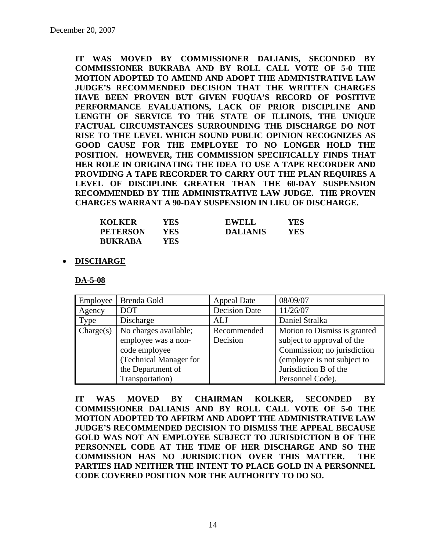**IT WAS MOVED BY COMMISSIONER DALIANIS, SECONDED BY COMMISSIONER BUKRABA AND BY ROLL CALL VOTE OF 5-0 THE MOTION ADOPTED TO AMEND AND ADOPT THE ADMINISTRATIVE LAW JUDGE'S RECOMMENDED DECISION THAT THE WRITTEN CHARGES HAVE BEEN PROVEN BUT GIVEN FUQUA'S RECORD OF POSITIVE PERFORMANCE EVALUATIONS, LACK OF PRIOR DISCIPLINE AND LENGTH OF SERVICE TO THE STATE OF ILLINOIS, THE UNIQUE FACTUAL CIRCUMSTANCES SURROUNDING THE DISCHARGE DO NOT RISE TO THE LEVEL WHICH SOUND PUBLIC OPINION RECOGNIZES AS GOOD CAUSE FOR THE EMPLOYEE TO NO LONGER HOLD THE POSITION. HOWEVER, THE COMMISSION SPECIFICALLY FINDS THAT HER ROLE IN ORIGINATING THE IDEA TO USE A TAPE RECORDER AND PROVIDING A TAPE RECORDER TO CARRY OUT THE PLAN REQUIRES A LEVEL OF DISCIPLINE GREATER THAN THE 60-DAY SUSPENSION RECOMMENDED BY THE ADMINISTRATIVE LAW JUDGE. THE PROVEN CHARGES WARRANT A 90-DAY SUSPENSION IN LIEU OF DISCHARGE.** 

| <b>KOLKER</b>   | <b>YES</b> | <b>EWELL</b>    | YES |
|-----------------|------------|-----------------|-----|
| <b>PETERSON</b> | YES        | <b>DALIANIS</b> | YES |
| <b>RUKRABA</b>  | YES        |                 |     |

#### • **DISCHARGE**

**DA-5-08**

| Employee  | Brenda Gold            | <b>Appeal Date</b>   | 08/09/07                     |
|-----------|------------------------|----------------------|------------------------------|
| Agency    | <b>DOT</b>             | <b>Decision Date</b> | 11/26/07                     |
| Type      | Discharge              | ALJ                  | Daniel Stralka               |
| Change(s) | No charges available;  | Recommended          | Motion to Dismiss is granted |
|           | employee was a non-    | Decision             | subject to approval of the   |
|           | code employee          |                      | Commission; no jurisdiction  |
|           | (Technical Manager for |                      | (employee is not subject to  |
|           | the Department of      |                      | Jurisdiction B of the        |
|           | Transportation)        |                      | Personnel Code).             |

**IT WAS MOVED BY CHAIRMAN KOLKER, SECONDED BY COMMISSIONER DALIANIS AND BY ROLL CALL VOTE OF 5-0 THE MOTION ADOPTED TO AFFIRM AND ADOPT THE ADMINISTRATIVE LAW JUDGE'S RECOMMENDED DECISION TO DISMISS THE APPEAL BECAUSE GOLD WAS NOT AN EMPLOYEE SUBJECT TO JURISDICTION B OF THE PERSONNEL CODE AT THE TIME OF HER DISCHARGE AND SO THE COMMISSION HAS NO JURISDICTION OVER THIS MATTER. THE PARTIES HAD NEITHER THE INTENT TO PLACE GOLD IN A PERSONNEL CODE COVERED POSITION NOR THE AUTHORITY TO DO SO.**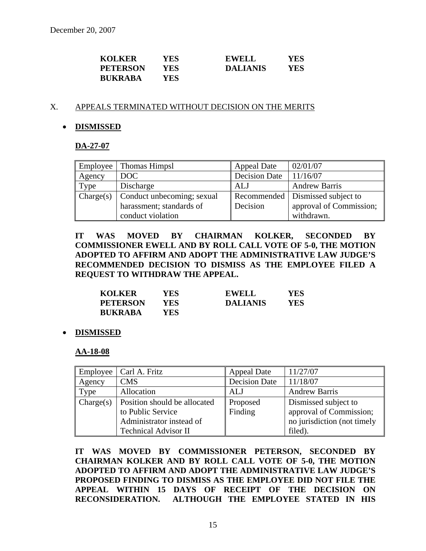| <b>KOLKER</b>   | YES | <b>EWELL</b>    | YES |
|-----------------|-----|-----------------|-----|
| <b>PETERSON</b> | YES | <b>DALIANIS</b> | YES |
| <b>BUKRABA</b>  | YES |                 |     |

#### X. APPEALS TERMINATED WITHOUT DECISION ON THE MERITS

#### • **DISMISSED**

#### **DA-27-07**

| Employee  | Thomas Himpsl              | <b>Appeal Date</b>   | 02/01/07                           |
|-----------|----------------------------|----------------------|------------------------------------|
| Agency    | DOC                        | <b>Decision Date</b> | 11/16/07                           |
| Type      | Discharge                  | ALJ                  | <b>Andrew Barris</b>               |
| Change(s) | Conduct unbecoming; sexual |                      | Recommended   Dismissed subject to |
|           | harassment; standards of   | Decision             | approval of Commission;            |
|           | conduct violation          |                      | withdrawn.                         |

### **IT WAS MOVED BY CHAIRMAN KOLKER, SECONDED BY COMMISSIONER EWELL AND BY ROLL CALL VOTE OF 5-0, THE MOTION ADOPTED TO AFFIRM AND ADOPT THE ADMINISTRATIVE LAW JUDGE'S RECOMMENDED DECISION TO DISMISS AS THE EMPLOYEE FILED A REQUEST TO WITHDRAW THE APPEAL.**

| <b>KOLKER</b>   | YES  | <b>EWELL</b>    | YES |
|-----------------|------|-----------------|-----|
| <b>PETERSON</b> | YES. | <b>DALIANIS</b> | YES |
| <b>BUKRABA</b>  | YES. |                 |     |

#### • **DISMISSED**

#### **AA-18-08**

| Employee  | Carl A. Fritz                | <b>Appeal Date</b>   | 11/27/07                    |
|-----------|------------------------------|----------------------|-----------------------------|
| Agency    | <b>CMS</b>                   | <b>Decision Date</b> | 11/18/07                    |
| Type      | Allocation                   | ALJ                  | <b>Andrew Barris</b>        |
| Change(s) | Position should be allocated | Proposed             | Dismissed subject to        |
|           | to Public Service            | Finding              | approval of Commission;     |
|           | Administrator instead of     |                      | no jurisdiction (not timely |
|           | <b>Technical Advisor II</b>  |                      | filed).                     |

**IT WAS MOVED BY COMMISSIONER PETERSON, SECONDED BY CHAIRMAN KOLKER AND BY ROLL CALL VOTE OF 5-0, THE MOTION ADOPTED TO AFFIRM AND ADOPT THE ADMINISTRATIVE LAW JUDGE'S PROPOSED FINDING TO DISMISS AS THE EMPLOYEE DID NOT FILE THE APPEAL WITHIN 15 DAYS OF RECEIPT OF THE DECISION ON RECONSIDERATION. ALTHOUGH THE EMPLOYEE STATED IN HIS**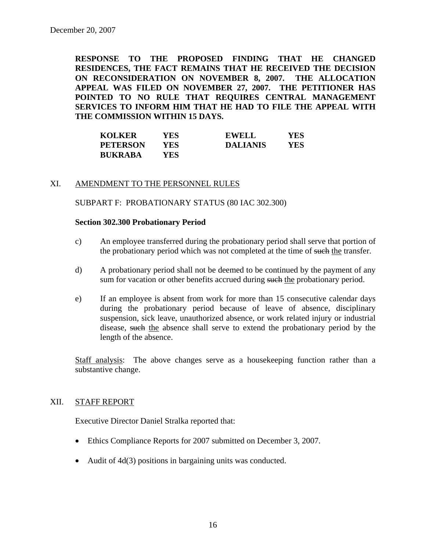**RESPONSE TO THE PROPOSED FINDING THAT HE CHANGED RESIDENCES, THE FACT REMAINS THAT HE RECEIVED THE DECISION ON RECONSIDERATION ON NOVEMBER 8, 2007. THE ALLOCATION APPEAL WAS FILED ON NOVEMBER 27, 2007. THE PETITIONER HAS POINTED TO NO RULE THAT REQUIRES CENTRAL MANAGEMENT SERVICES TO INFORM HIM THAT HE HAD TO FILE THE APPEAL WITH THE COMMISSION WITHIN 15 DAYS.** 

| <b>KOLKER</b>   | YES | EWELL           | YES |
|-----------------|-----|-----------------|-----|
| <b>PETERSON</b> | YES | <b>DALIANIS</b> | YES |
| <b>BUKRABA</b>  | YES |                 |     |

### XI. AMENDMENT TO THE PERSONNEL RULES

SUBPART F: PROBATIONARY STATUS (80 IAC 302.300)

#### **Section 302.300 Probationary Period**

- c) An employee transferred during the probationary period shall serve that portion of the probationary period which was not completed at the time of such the transfer.
- d) A probationary period shall not be deemed to be continued by the payment of any sum for vacation or other benefits accrued during such the probationary period.
- e) If an employee is absent from work for more than 15 consecutive calendar days during the probationary period because of leave of absence, disciplinary suspension, sick leave, unauthorized absence, or work related injury or industrial disease, such the absence shall serve to extend the probationary period by the length of the absence.

Staff analysis: The above changes serve as a housekeeping function rather than a substantive change.

#### XII. STAFF REPORT

Executive Director Daniel Stralka reported that:

- Ethics Compliance Reports for 2007 submitted on December 3, 2007.
- Audit of 4d(3) positions in bargaining units was conducted.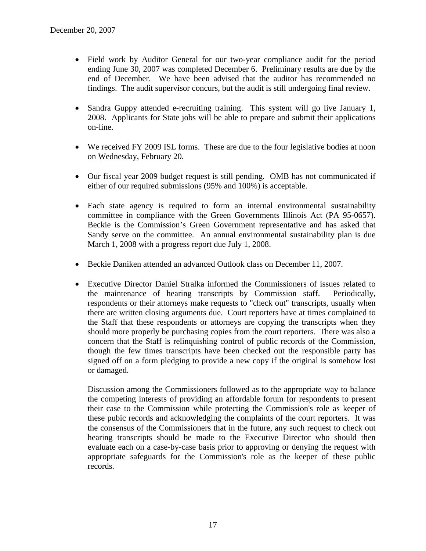- Field work by Auditor General for our two-year compliance audit for the period ending June 30, 2007 was completed December 6. Preliminary results are due by the end of December. We have been advised that the auditor has recommended no findings. The audit supervisor concurs, but the audit is still undergoing final review.
- Sandra Guppy attended e-recruiting training. This system will go live January 1, 2008. Applicants for State jobs will be able to prepare and submit their applications on-line.
- We received FY 2009 ISL forms. These are due to the four legislative bodies at noon on Wednesday, February 20.
- Our fiscal year 2009 budget request is still pending. OMB has not communicated if either of our required submissions (95% and 100%) is acceptable.
- Each state agency is required to form an internal environmental sustainability committee in compliance with the Green Governments Illinois Act (PA 95-0657). Beckie is the Commission's Green Government representative and has asked that Sandy serve on the committee. An annual environmental sustainability plan is due March 1, 2008 with a progress report due July 1, 2008.
- Beckie Daniken attended an advanced Outlook class on December 11, 2007.
- Executive Director Daniel Stralka informed the Commissioners of issues related to the maintenance of hearing transcripts by Commission staff. Periodically, respondents or their attorneys make requests to "check out" transcripts, usually when there are written closing arguments due. Court reporters have at times complained to the Staff that these respondents or attorneys are copying the transcripts when they should more properly be purchasing copies from the court reporters. There was also a concern that the Staff is relinquishing control of public records of the Commission, though the few times transcripts have been checked out the responsible party has signed off on a form pledging to provide a new copy if the original is somehow lost or damaged.

Discussion among the Commissioners followed as to the appropriate way to balance the competing interests of providing an affordable forum for respondents to present their case to the Commission while protecting the Commission's role as keeper of these pubic records and acknowledging the complaints of the court reporters. It was the consensus of the Commissioners that in the future, any such request to check out hearing transcripts should be made to the Executive Director who should then evaluate each on a case-by-case basis prior to approving or denying the request with appropriate safeguards for the Commission's role as the keeper of these public records.